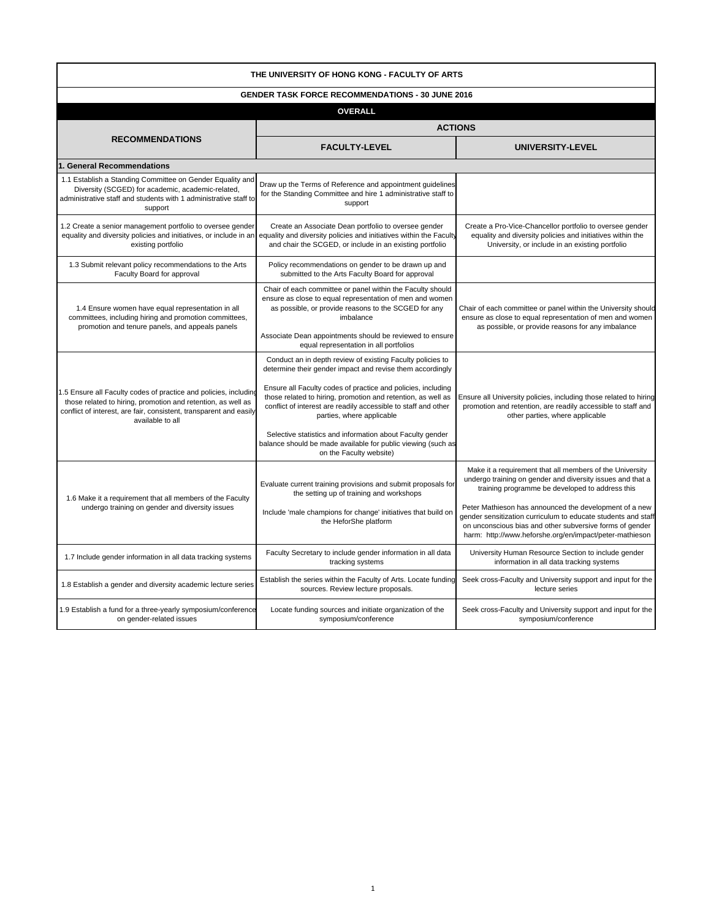| THE UNIVERSITY OF HONG KONG - FACULTY OF ARTS                                                                                                                                                                              |                                                                                                                                                                                                                                                                                                                                                                                                                                                                                                                |                                                                                                                                                                                                                                                                                                                                                                                                                             |  |  |
|----------------------------------------------------------------------------------------------------------------------------------------------------------------------------------------------------------------------------|----------------------------------------------------------------------------------------------------------------------------------------------------------------------------------------------------------------------------------------------------------------------------------------------------------------------------------------------------------------------------------------------------------------------------------------------------------------------------------------------------------------|-----------------------------------------------------------------------------------------------------------------------------------------------------------------------------------------------------------------------------------------------------------------------------------------------------------------------------------------------------------------------------------------------------------------------------|--|--|
| <b>GENDER TASK FORCE RECOMMENDATIONS - 30 JUNE 2016</b>                                                                                                                                                                    |                                                                                                                                                                                                                                                                                                                                                                                                                                                                                                                |                                                                                                                                                                                                                                                                                                                                                                                                                             |  |  |
|                                                                                                                                                                                                                            | <b>OVERALL</b>                                                                                                                                                                                                                                                                                                                                                                                                                                                                                                 |                                                                                                                                                                                                                                                                                                                                                                                                                             |  |  |
|                                                                                                                                                                                                                            | <b>ACTIONS</b>                                                                                                                                                                                                                                                                                                                                                                                                                                                                                                 |                                                                                                                                                                                                                                                                                                                                                                                                                             |  |  |
| <b>RECOMMENDATIONS</b>                                                                                                                                                                                                     | <b>FACULTY-LEVEL</b>                                                                                                                                                                                                                                                                                                                                                                                                                                                                                           | UNIVERSITY-LEVEL                                                                                                                                                                                                                                                                                                                                                                                                            |  |  |
| 1. General Recommendations                                                                                                                                                                                                 |                                                                                                                                                                                                                                                                                                                                                                                                                                                                                                                |                                                                                                                                                                                                                                                                                                                                                                                                                             |  |  |
| 1.1 Establish a Standing Committee on Gender Equality and<br>Diversity (SCGED) for academic, academic-related,<br>administrative staff and students with 1 administrative staff to<br>support                              | Draw up the Terms of Reference and appointment guidelines<br>for the Standing Committee and hire 1 administrative staff to<br>support                                                                                                                                                                                                                                                                                                                                                                          |                                                                                                                                                                                                                                                                                                                                                                                                                             |  |  |
| 1.2 Create a senior management portfolio to oversee gender<br>equality and diversity policies and initiatives, or include in an<br>existing portfolio                                                                      | Create an Associate Dean portfolio to oversee gender<br>equality and diversity policies and initiatives within the Faculty<br>and chair the SCGED, or include in an existing portfolio                                                                                                                                                                                                                                                                                                                         | Create a Pro-Vice-Chancellor portfolio to oversee gender<br>equality and diversity policies and initiatives within the<br>University, or include in an existing portfolio                                                                                                                                                                                                                                                   |  |  |
| 1.3 Submit relevant policy recommendations to the Arts<br>Faculty Board for approval                                                                                                                                       | Policy recommendations on gender to be drawn up and<br>submitted to the Arts Faculty Board for approval                                                                                                                                                                                                                                                                                                                                                                                                        |                                                                                                                                                                                                                                                                                                                                                                                                                             |  |  |
| 1.4 Ensure women have equal representation in all<br>committees, including hiring and promotion committees,<br>promotion and tenure panels, and appeals panels                                                             | Chair of each committee or panel within the Faculty should<br>ensure as close to equal representation of men and women<br>as possible, or provide reasons to the SCGED for any<br>imbalance<br>Associate Dean appointments should be reviewed to ensure<br>equal representation in all portfolios                                                                                                                                                                                                              | Chair of each committee or panel within the University should<br>ensure as close to equal representation of men and women<br>as possible, or provide reasons for any imbalance                                                                                                                                                                                                                                              |  |  |
| 1.5 Ensure all Faculty codes of practice and policies, including<br>those related to hiring, promotion and retention, as well as<br>conflict of interest, are fair, consistent, transparent and easily<br>available to all | Conduct an in depth review of existing Faculty policies to<br>determine their gender impact and revise them accordingly<br>Ensure all Faculty codes of practice and policies, including<br>those related to hiring, promotion and retention, as well as<br>conflict of interest are readily accessible to staff and other<br>parties, where applicable<br>Selective statistics and information about Faculty gender<br>balance should be made available for public viewing (such as<br>on the Faculty website) | Ensure all University policies, including those related to hiring<br>promotion and retention, are readily accessible to staff and<br>other parties, where applicable                                                                                                                                                                                                                                                        |  |  |
| 1.6 Make it a requirement that all members of the Faculty<br>undergo training on gender and diversity issues                                                                                                               | Evaluate current training provisions and submit proposals for<br>the setting up of training and workshops<br>Include 'male champions for change' initiatives that build on<br>the HeforShe platform                                                                                                                                                                                                                                                                                                            | Make it a requirement that all members of the University<br>undergo training on gender and diversity issues and that a<br>training programme be developed to address this<br>Peter Mathieson has announced the development of a new<br>gender sensitization curriculum to educate students and staff<br>on unconscious bias and other subversive forms of gender<br>harm: http://www.heforshe.org/en/impact/peter-mathieson |  |  |
| 1.7 Include gender information in all data tracking systems                                                                                                                                                                | Faculty Secretary to include gender information in all data<br>tracking systems                                                                                                                                                                                                                                                                                                                                                                                                                                | University Human Resource Section to include gender<br>information in all data tracking systems                                                                                                                                                                                                                                                                                                                             |  |  |
| 1.8 Establish a gender and diversity academic lecture series                                                                                                                                                               | Establish the series within the Faculty of Arts. Locate funding<br>sources. Review lecture proposals.                                                                                                                                                                                                                                                                                                                                                                                                          | Seek cross-Faculty and University support and input for the<br>lecture series                                                                                                                                                                                                                                                                                                                                               |  |  |
| 1.9 Establish a fund for a three-yearly symposium/conference<br>on gender-related issues                                                                                                                                   | Locate funding sources and initiate organization of the<br>symposium/conference                                                                                                                                                                                                                                                                                                                                                                                                                                | Seek cross-Faculty and University support and input for the<br>symposium/conference                                                                                                                                                                                                                                                                                                                                         |  |  |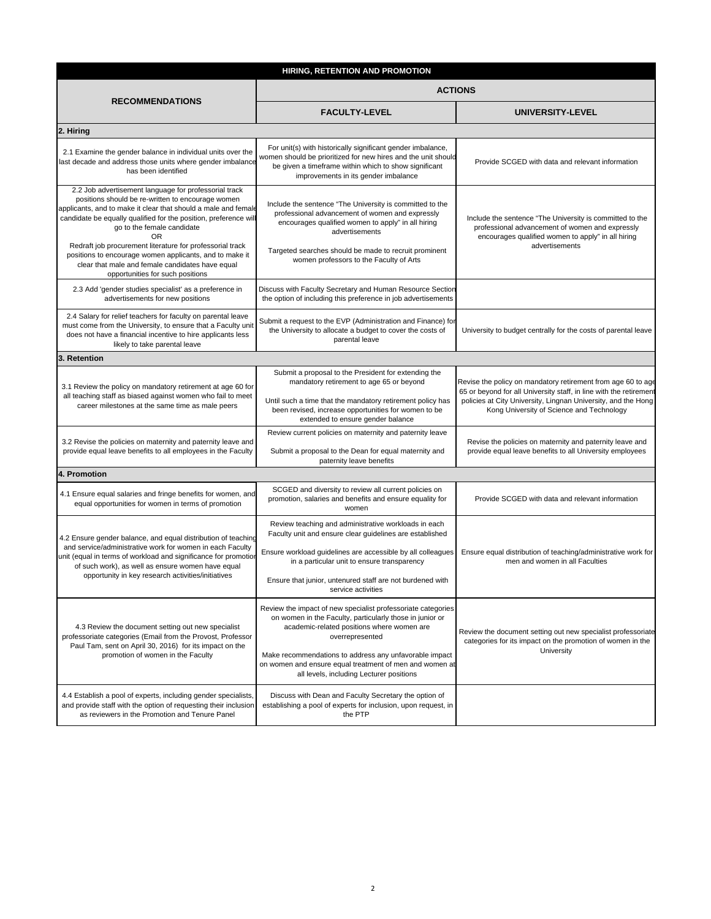| HIRING, RETENTION AND PROMOTION                                                                                                                                                                                                                                                                                                                                                                                                                                                                             |                                                                                                                                                                                                                                                                                                                                                            |                                                                                                                                                                                                                                                  |
|-------------------------------------------------------------------------------------------------------------------------------------------------------------------------------------------------------------------------------------------------------------------------------------------------------------------------------------------------------------------------------------------------------------------------------------------------------------------------------------------------------------|------------------------------------------------------------------------------------------------------------------------------------------------------------------------------------------------------------------------------------------------------------------------------------------------------------------------------------------------------------|--------------------------------------------------------------------------------------------------------------------------------------------------------------------------------------------------------------------------------------------------|
| <b>RECOMMENDATIONS</b>                                                                                                                                                                                                                                                                                                                                                                                                                                                                                      | <b>ACTIONS</b>                                                                                                                                                                                                                                                                                                                                             |                                                                                                                                                                                                                                                  |
|                                                                                                                                                                                                                                                                                                                                                                                                                                                                                                             | <b>FACULTY-LEVEL</b>                                                                                                                                                                                                                                                                                                                                       | UNIVERSITY-LEVEL                                                                                                                                                                                                                                 |
| 2. Hiring                                                                                                                                                                                                                                                                                                                                                                                                                                                                                                   |                                                                                                                                                                                                                                                                                                                                                            |                                                                                                                                                                                                                                                  |
| 2.1 Examine the gender balance in individual units over the<br>last decade and address those units where gender imbalance<br>has been identified                                                                                                                                                                                                                                                                                                                                                            | For unit(s) with historically significant gender imbalance,<br>women should be prioritized for new hires and the unit should<br>be given a timeframe within which to show significant<br>improvements in its gender imbalance                                                                                                                              | Provide SCGED with data and relevant information                                                                                                                                                                                                 |
| 2.2 Job advertisement language for professorial track<br>positions should be re-written to encourage women<br>applicants, and to make it clear that should a male and female<br>candidate be equally qualified for the position, preference will<br>go to the female candidate<br><b>OR</b><br>Redraft job procurement literature for professorial track<br>positions to encourage women applicants, and to make it<br>clear that male and female candidates have equal<br>opportunities for such positions | Include the sentence "The University is committed to the<br>professional advancement of women and expressly<br>encourages qualified women to apply" in all hiring<br>advertisements<br>Targeted searches should be made to recruit prominent<br>women professors to the Faculty of Arts                                                                    | Include the sentence "The University is committed to the<br>professional advancement of women and expressly<br>encourages qualified women to apply" in all hiring<br>advertisements                                                              |
| 2.3 Add 'gender studies specialist' as a preference in<br>advertisements for new positions                                                                                                                                                                                                                                                                                                                                                                                                                  | Discuss with Faculty Secretary and Human Resource Section<br>the option of including this preference in job advertisements                                                                                                                                                                                                                                 |                                                                                                                                                                                                                                                  |
| 2.4 Salary for relief teachers for faculty on parental leave<br>must come from the University, to ensure that a Faculty unit<br>does not have a financial incentive to hire applicants less<br>likely to take parental leave                                                                                                                                                                                                                                                                                | Submit a request to the EVP (Administration and Finance) for<br>the University to allocate a budget to cover the costs of<br>parental leave                                                                                                                                                                                                                | University to budget centrally for the costs of parental leave                                                                                                                                                                                   |
| 3. Retention                                                                                                                                                                                                                                                                                                                                                                                                                                                                                                |                                                                                                                                                                                                                                                                                                                                                            |                                                                                                                                                                                                                                                  |
| 3.1 Review the policy on mandatory retirement at age 60 for<br>all teaching staff as biased against women who fail to meet<br>career milestones at the same time as male peers                                                                                                                                                                                                                                                                                                                              | Submit a proposal to the President for extending the<br>mandatory retirement to age 65 or beyond<br>Until such a time that the mandatory retirement policy has<br>been revised, increase opportunities for women to be<br>extended to ensure gender balance                                                                                                | Revise the policy on mandatory retirement from age 60 to age<br>65 or beyond for all University staff, in line with the retirement<br>policies at City University, Lingnan University, and the Hong<br>Kong University of Science and Technology |
| 3.2 Revise the policies on maternity and paternity leave and<br>provide equal leave benefits to all employees in the Faculty                                                                                                                                                                                                                                                                                                                                                                                | Review current policies on maternity and paternity leave<br>Submit a proposal to the Dean for equal maternity and<br>paternity leave benefits                                                                                                                                                                                                              | Revise the policies on maternity and paternity leave and<br>provide equal leave benefits to all University employees                                                                                                                             |
| 4. Promotion                                                                                                                                                                                                                                                                                                                                                                                                                                                                                                |                                                                                                                                                                                                                                                                                                                                                            |                                                                                                                                                                                                                                                  |
| 4.1 Ensure equal salaries and fringe benefits for women, and<br>equal opportunities for women in terms of promotion                                                                                                                                                                                                                                                                                                                                                                                         | SCGED and diversity to review all current policies on<br>promotion, salaries and benefits and ensure equality for<br>women                                                                                                                                                                                                                                 | Provide SCGED with data and relevant information                                                                                                                                                                                                 |
| 4.2 Ensure gender balance, and equal distribution of teaching<br>and service/administrative work for women in each Faculty<br>unit (equal in terms of workload and significance for promotion<br>of such work), as well as ensure women have equal<br>opportunity in key research activities/initiatives                                                                                                                                                                                                    | Review teaching and administrative workloads in each<br>Faculty unit and ensure clear guidelines are established<br>Ensure workload guidelines are accessible by all colleagues<br>in a particular unit to ensure transparency<br>Ensure that junior, untenured staff are not burdened with<br>service activities                                          | Ensure equal distribution of teaching/administrative work for<br>men and women in all Faculties                                                                                                                                                  |
| 4.3 Review the document setting out new specialist<br>professoriate categories (Email from the Provost, Professor<br>Paul Tam, sent on April 30, 2016) for its impact on the<br>promotion of women in the Faculty                                                                                                                                                                                                                                                                                           | Review the impact of new specialist professoriate categories<br>on women in the Faculty, particularly those in junior or<br>academic-related positions where women are<br>overrepresented<br>Make recommendations to address any unfavorable impact<br>on women and ensure equal treatment of men and women at<br>all levels, including Lecturer positions | Review the document setting out new specialist professoriate<br>categories for its impact on the promotion of women in the<br>University                                                                                                         |
| 4.4 Establish a pool of experts, including gender specialists,<br>and provide staff with the option of requesting their inclusion<br>as reviewers in the Promotion and Tenure Panel                                                                                                                                                                                                                                                                                                                         | Discuss with Dean and Faculty Secretary the option of<br>establishing a pool of experts for inclusion, upon request, in<br>the PTP                                                                                                                                                                                                                         |                                                                                                                                                                                                                                                  |
|                                                                                                                                                                                                                                                                                                                                                                                                                                                                                                             |                                                                                                                                                                                                                                                                                                                                                            |                                                                                                                                                                                                                                                  |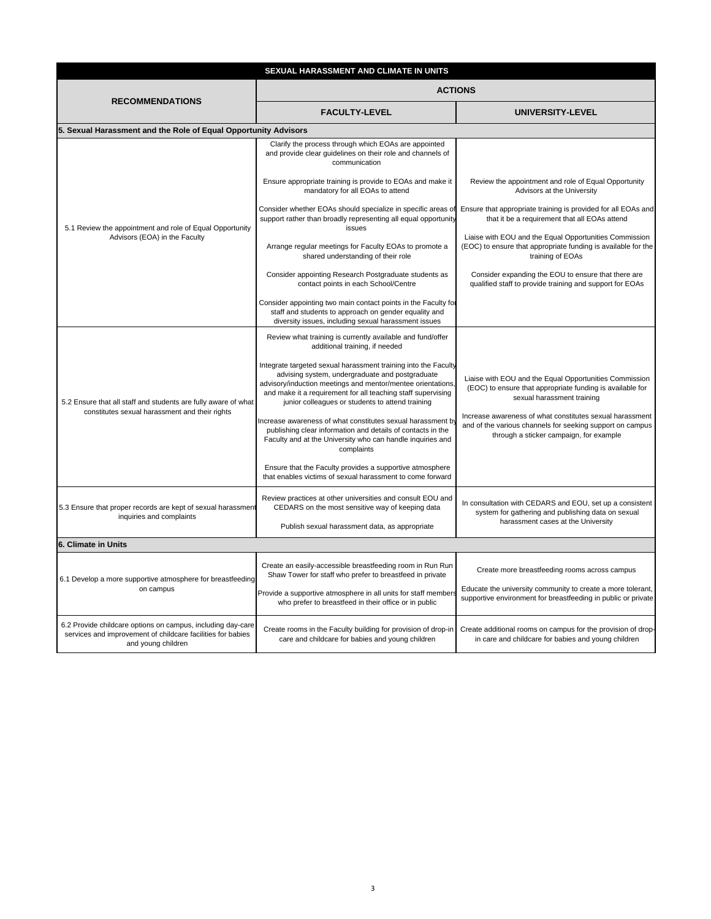| SEXUAL HARASSMENT AND CLIMATE IN UNITS                                                                                                           |                                                                                                                                                                                                                                                                                                     |                                                                                                                                                                  |
|--------------------------------------------------------------------------------------------------------------------------------------------------|-----------------------------------------------------------------------------------------------------------------------------------------------------------------------------------------------------------------------------------------------------------------------------------------------------|------------------------------------------------------------------------------------------------------------------------------------------------------------------|
| <b>RECOMMENDATIONS</b>                                                                                                                           | <b>ACTIONS</b>                                                                                                                                                                                                                                                                                      |                                                                                                                                                                  |
|                                                                                                                                                  | <b>FACULTY-LEVEL</b>                                                                                                                                                                                                                                                                                | UNIVERSITY-LEVEL                                                                                                                                                 |
| 5. Sexual Harassment and the Role of Equal Opportunity Advisors                                                                                  |                                                                                                                                                                                                                                                                                                     |                                                                                                                                                                  |
| 5.1 Review the appointment and role of Equal Opportunity<br>Advisors (EOA) in the Faculty                                                        | Clarify the process through which EOAs are appointed<br>and provide clear guidelines on their role and channels of<br>communication                                                                                                                                                                 |                                                                                                                                                                  |
|                                                                                                                                                  | Ensure appropriate training is provide to EOAs and make it<br>mandatory for all EOAs to attend                                                                                                                                                                                                      | Review the appointment and role of Equal Opportunity<br>Advisors at the University                                                                               |
|                                                                                                                                                  | Consider whether EOAs should specialize in specific areas of<br>support rather than broadly representing all equal opportunity<br>issues                                                                                                                                                            | Ensure that appropriate training is provided for all EOAs and<br>that it be a requirement that all EOAs attend                                                   |
|                                                                                                                                                  | Arrange regular meetings for Faculty EOAs to promote a<br>shared understanding of their role                                                                                                                                                                                                        | Liaise with EOU and the Equal Opportunities Commission<br>(EOC) to ensure that appropriate funding is available for the<br>training of EOAs                      |
|                                                                                                                                                  | Consider appointing Research Postgraduate students as<br>contact points in each School/Centre                                                                                                                                                                                                       | Consider expanding the EOU to ensure that there are<br>qualified staff to provide training and support for EOAs                                                  |
|                                                                                                                                                  | Consider appointing two main contact points in the Faculty for<br>staff and students to approach on gender equality and<br>diversity issues, including sexual harassment issues                                                                                                                     |                                                                                                                                                                  |
|                                                                                                                                                  | Review what training is currently available and fund/offer<br>additional training, if needed                                                                                                                                                                                                        |                                                                                                                                                                  |
| 5.2 Ensure that all staff and students are fully aware of what<br>constitutes sexual harassment and their rights                                 | Integrate targeted sexual harassment training into the Faculty<br>advising system, undergraduate and postgraduate<br>advisory/induction meetings and mentor/mentee orientations<br>and make it a requirement for all teaching staff supervising<br>junior colleagues or students to attend training | Liaise with EOU and the Equal Opportunities Commission<br>(EOC) to ensure that appropriate funding is available for<br>sexual harassment training                |
|                                                                                                                                                  | ncrease awareness of what constitutes sexual harassment by<br>publishing clear information and details of contacts in the<br>Faculty and at the University who can handle inquiries and<br>complaints                                                                                               | Increase awareness of what constitutes sexual harassment<br>and of the various channels for seeking support on campus<br>through a sticker campaign, for example |
|                                                                                                                                                  | Ensure that the Faculty provides a supportive atmosphere<br>that enables victims of sexual harassment to come forward                                                                                                                                                                               |                                                                                                                                                                  |
| 5.3 Ensure that proper records are kept of sexual harassment<br>inquiries and complaints                                                         | Review practices at other universities and consult EOU and<br>CEDARS on the most sensitive way of keeping data                                                                                                                                                                                      | In consultation with CEDARS and EOU, set up a consistent<br>system for gathering and publishing data on sexual                                                   |
|                                                                                                                                                  | Publish sexual harassment data, as appropriate                                                                                                                                                                                                                                                      | harassment cases at the University                                                                                                                               |
| 6. Climate in Units                                                                                                                              |                                                                                                                                                                                                                                                                                                     |                                                                                                                                                                  |
| 6.1 Develop a more supportive atmosphere for breastfeeding<br>on campus                                                                          | Create an easily-accessible breastfeeding room in Run Run<br>Shaw Tower for staff who prefer to breastfeed in private                                                                                                                                                                               | Create more breastfeeding rooms across campus                                                                                                                    |
|                                                                                                                                                  | Provide a supportive atmosphere in all units for staff members<br>who prefer to breastfeed in their office or in public                                                                                                                                                                             | Educate the university community to create a more tolerant,<br>supportive environment for breastfeeding in public or private                                     |
| 6.2 Provide childcare options on campus, including day-care<br>services and improvement of childcare facilities for babies<br>and young children | Create rooms in the Faculty building for provision of drop-in<br>care and childcare for babies and young children                                                                                                                                                                                   | Create additional rooms on campus for the provision of drop-<br>in care and childcare for babies and young children                                              |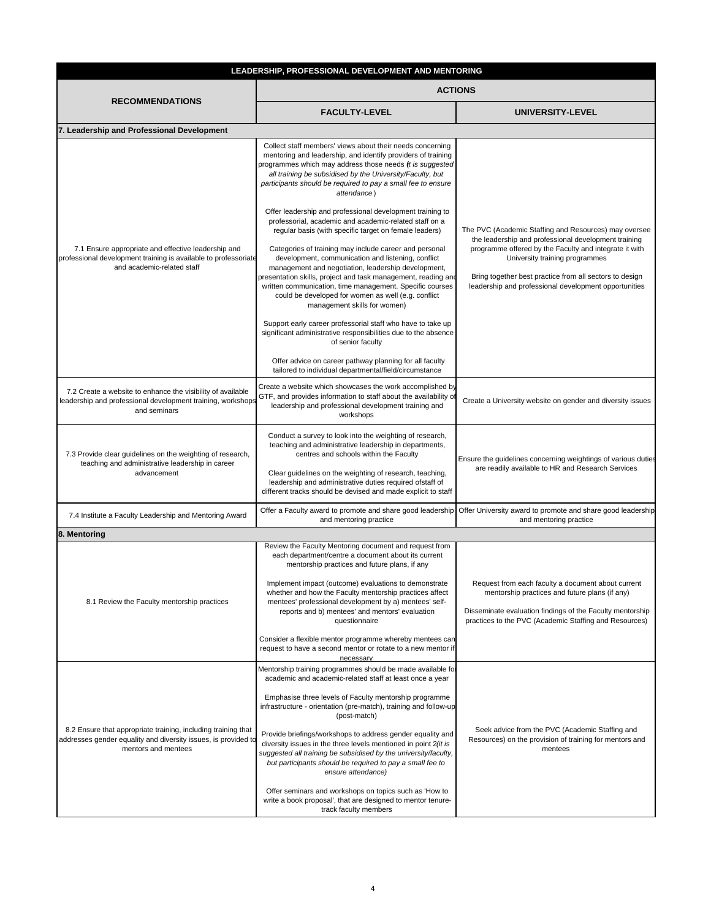| LEADERSHIP, PROFESSIONAL DEVELOPMENT AND MENTORING                                                                                                     |                                                                                                                                                                                                                                                                                                                                                                                                                                                                                                                                                                                                                                                                                                                                                                                                                                                                                                                                                                                                                                                                                                                                                                                           |                                                                                                                                                                                                                                                                                                                               |  |
|--------------------------------------------------------------------------------------------------------------------------------------------------------|-------------------------------------------------------------------------------------------------------------------------------------------------------------------------------------------------------------------------------------------------------------------------------------------------------------------------------------------------------------------------------------------------------------------------------------------------------------------------------------------------------------------------------------------------------------------------------------------------------------------------------------------------------------------------------------------------------------------------------------------------------------------------------------------------------------------------------------------------------------------------------------------------------------------------------------------------------------------------------------------------------------------------------------------------------------------------------------------------------------------------------------------------------------------------------------------|-------------------------------------------------------------------------------------------------------------------------------------------------------------------------------------------------------------------------------------------------------------------------------------------------------------------------------|--|
| <b>RECOMMENDATIONS</b>                                                                                                                                 | <b>ACTIONS</b>                                                                                                                                                                                                                                                                                                                                                                                                                                                                                                                                                                                                                                                                                                                                                                                                                                                                                                                                                                                                                                                                                                                                                                            |                                                                                                                                                                                                                                                                                                                               |  |
|                                                                                                                                                        | <b>FACULTY-LEVEL</b>                                                                                                                                                                                                                                                                                                                                                                                                                                                                                                                                                                                                                                                                                                                                                                                                                                                                                                                                                                                                                                                                                                                                                                      | UNIVERSITY-LEVEL                                                                                                                                                                                                                                                                                                              |  |
| 7. Leadership and Professional Development                                                                                                             |                                                                                                                                                                                                                                                                                                                                                                                                                                                                                                                                                                                                                                                                                                                                                                                                                                                                                                                                                                                                                                                                                                                                                                                           |                                                                                                                                                                                                                                                                                                                               |  |
| 7.1 Ensure appropriate and effective leadership and<br>professional development training is available to professoriate<br>and academic-related staff   | Collect staff members' views about their needs concerning<br>mentoring and leadership, and identify providers of training<br>programmes which may address those needs (it is suggested<br>all training be subsidised by the University/Faculty, but<br>participants should be required to pay a small fee to ensure<br>attendance)<br>Offer leadership and professional development training to<br>professorial, academic and academic-related staff on a<br>regular basis (with specific target on female leaders)<br>Categories of training may include career and personal<br>development, communication and listening, conflict<br>management and negotiation, leadership development,<br>presentation skills, project and task management, reading and<br>written communication, time management. Specific courses<br>could be developed for women as well (e.g. conflict<br>management skills for women)<br>Support early career professorial staff who have to take up<br>significant administrative responsibilities due to the absence<br>of senior faculty<br>Offer advice on career pathway planning for all faculty<br>tailored to individual departmental/field/circumstance | The PVC (Academic Staffing and Resources) may oversee<br>the leadership and professional development training<br>programme offered by the Faculty and integrate it with<br>University training programmes<br>Bring together best practice from all sectors to design<br>leadership and professional development opportunities |  |
| 7.2 Create a website to enhance the visibility of available<br>leadership and professional development training, workshops<br>and seminars             | Create a website which showcases the work accomplished by<br>GTF, and provides information to staff about the availability of<br>leadership and professional development training and<br>workshops                                                                                                                                                                                                                                                                                                                                                                                                                                                                                                                                                                                                                                                                                                                                                                                                                                                                                                                                                                                        | Create a University website on gender and diversity issues                                                                                                                                                                                                                                                                    |  |
| 7.3 Provide clear guidelines on the weighting of research,<br>teaching and administrative leadership in career<br>advancement                          | Conduct a survey to look into the weighting of research,<br>teaching and administrative leadership in departments,<br>centres and schools within the Faculty<br>Clear guidelines on the weighting of research, teaching,<br>leadership and administrative duties required ofstaff of<br>different tracks should be devised and made explicit to staff                                                                                                                                                                                                                                                                                                                                                                                                                                                                                                                                                                                                                                                                                                                                                                                                                                     | Ensure the guidelines concerning weightings of various duties<br>are readily available to HR and Research Services                                                                                                                                                                                                            |  |
| 7.4 Institute a Faculty Leadership and Mentoring Award                                                                                                 | Offer a Faculty award to promote and share good leadership<br>and mentoring practice                                                                                                                                                                                                                                                                                                                                                                                                                                                                                                                                                                                                                                                                                                                                                                                                                                                                                                                                                                                                                                                                                                      | Offer University award to promote and share good leadership<br>and mentoring practice                                                                                                                                                                                                                                         |  |
| 8. Mentoring                                                                                                                                           |                                                                                                                                                                                                                                                                                                                                                                                                                                                                                                                                                                                                                                                                                                                                                                                                                                                                                                                                                                                                                                                                                                                                                                                           |                                                                                                                                                                                                                                                                                                                               |  |
| 8.1 Review the Faculty mentorship practices                                                                                                            | Review the Faculty Mentoring document and request from<br>each department/centre a document about its current<br>mentorship practices and future plans, if any<br>Implement impact (outcome) evaluations to demonstrate<br>whether and how the Faculty mentorship practices affect<br>mentees' professional development by a) mentees' self-<br>reports and b) mentees' and mentors' evaluation<br>questionnaire<br>Consider a flexible mentor programme whereby mentees can<br>request to have a second mentor or rotate to a new mentor if<br>necessary                                                                                                                                                                                                                                                                                                                                                                                                                                                                                                                                                                                                                                 | Request from each faculty a document about current<br>mentorship practices and future plans (if any)<br>Disseminate evaluation findings of the Faculty mentorship<br>practices to the PVC (Academic Staffing and Resources)                                                                                                   |  |
| 8.2 Ensure that appropriate training, including training that<br>addresses gender equality and diversity issues, is provided to<br>mentors and mentees | Mentorship training programmes should be made available for<br>academic and academic-related staff at least once a year<br>Emphasise three levels of Faculty mentorship programme<br>infrastructure - orientation (pre-match), training and follow-up<br>(post-match)<br>Provide briefings/workshops to address gender equality and<br>diversity issues in the three levels mentioned in point 2(it is<br>suggested all training be subsidised by the university/faculty,<br>but participants should be required to pay a small fee to<br>ensure attendance)<br>Offer seminars and workshops on topics such as 'How to<br>write a book proposal', that are designed to mentor tenure-<br>track faculty members                                                                                                                                                                                                                                                                                                                                                                                                                                                                            | Seek advice from the PVC (Academic Staffing and<br>Resources) on the provision of training for mentors and<br>mentees                                                                                                                                                                                                         |  |